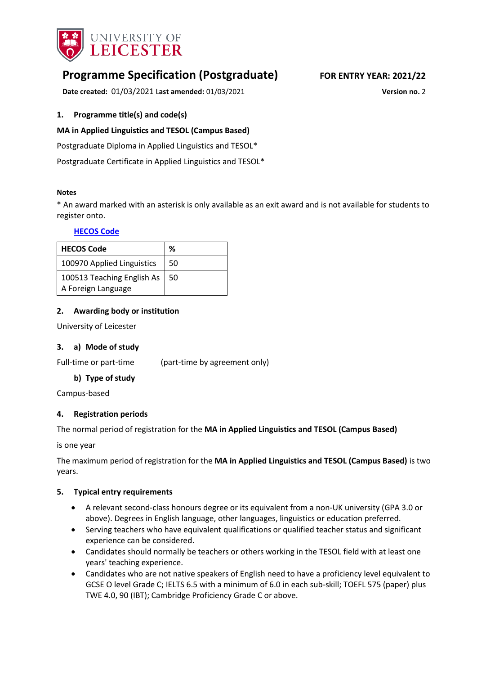

# **Programme Specification (Postgraduate) FOR ENTRY YEAR: 2021/22**

**Date created:** 01/03/2021 L**ast amended:** 01/03/2021 **Version no.** 2

# <span id="page-0-0"></span>**1. Programme title(s) and code(s)**

# **MA in Applied Linguistics and TESOL (Campus Based)**

Postgraduate Diploma in Applied Linguistics and TESOL\*

Postgraduate Certificate in Applied Linguistics and TESOL\*

#### **Notes**

\* An award marked with an asterisk is only available as an exit award and is not available for students to register onto.

### **[HECOS Code](https://www.hesa.ac.uk/innovation/hecos)**

| <b>HECOS Code</b>                                | %   |
|--------------------------------------------------|-----|
| 100970 Applied Linguistics                       | -50 |
| 100513 Teaching English As<br>A Foreign Language | -50 |

### **2. Awarding body or institution**

University of Leicester

# **3. a) Mode of study**

Full-time or part-time (part-time by agreement only)

#### **b) Type of study**

Campus-based

# **4. Registration periods**

The normal period of registration for the **MA in Applied Linguistics and TESOL (Campus Based)**

is one year

The maximum period of registration for the **MA in Applied Linguistics and TESOL (Campus Based)** is two years.

#### **5. Typical entry requirements**

- A relevant second-class honours degree or its equivalent from a non-UK university (GPA 3.0 or above). Degrees in English language, other languages, linguistics or education preferred.
- Serving teachers who have equivalent qualifications or qualified teacher status and significant experience can be considered.
- Candidates should normally be teachers or others working in the TESOL field with at least one years' teaching experience.
- Candidates who are not native speakers of English need to have a proficiency level equivalent to GCSE O level Grade C; IELTS 6.5 with a minimum of 6.0 in each sub-skill; TOEFL 575 (paper) plus TWE 4.0, 90 (IBT); Cambridge Proficiency Grade C or above.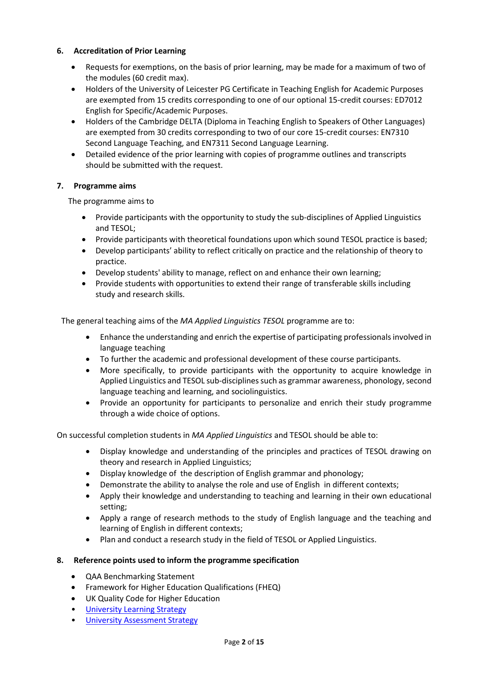# **6. Accreditation of Prior Learning**

- Requests for exemptions, on the basis of prior learning, may be made for a maximum of two of the modules (60 credit max).
- Holders of the University of Leicester PG Certificate in Teaching English for Academic Purposes are exempted from 15 credits corresponding to one of our optional 15-credit courses: ED7012 English for Specific/Academic Purposes.
- Holders of the Cambridge DELTA (Diploma in Teaching English to Speakers of Other Languages) are exempted from 30 credits corresponding to two of our core 15-credit courses: EN7310 Second Language Teaching, and EN7311 Second Language Learning.
- Detailed evidence of the prior learning with copies of programme outlines and transcripts should be submitted with the request.

# **7. Programme aims**

The programme aims to

- Provide participants with the opportunity to study the sub-disciplines of Applied Linguistics and TESOL;
- Provide participants with theoretical foundations upon which sound TESOL practice is based;
- Develop participants' ability to reflect critically on practice and the relationship of theory to practice.
- Develop students' ability to manage, reflect on and enhance their own learning;
- Provide students with opportunities to extend their range of transferable skills including study and research skills.

The general teaching aims of the *MA Applied Linguistics TESOL* programme are to:

- Enhance the understanding and enrich the expertise of participating professionals involved in language teaching
- To further the academic and professional development of these course participants.
- More specifically, to provide participants with the opportunity to acquire knowledge in Applied Linguistics and TESOL sub-disciplines such as grammar awareness, phonology, second language teaching and learning, and sociolinguistics.
- Provide an opportunity for participants to personalize and enrich their study programme through a wide choice of options.

On successful completion students in *MA Applied Linguistics* and TESOL should be able to:

- Display knowledge and understanding of the principles and practices of TESOL drawing on theory and research in Applied Linguistics;
- Display knowledge of the description of English grammar and phonology;
- Demonstrate the ability to analyse the role and use of English in different contexts;
- Apply their knowledge and understanding to teaching and learning in their own educational setting;
- Apply a range of research methods to the study of English language and the teaching and learning of English in different contexts;
- Plan and conduct a research study in the field of TESOL or Applied Linguistics.

# **8. Reference points used to inform the programme specification**

- QAA Benchmarking Statement
- Framework for Higher Education Qualifications (FHEQ)
- UK Quality Code for Higher Education
- [University Learning](https://www2.le.ac.uk/offices/sas2/quality/learnteach) Strategy
- [University Assessment Strategy](https://www2.le.ac.uk/offices/sas2/quality/learnteach)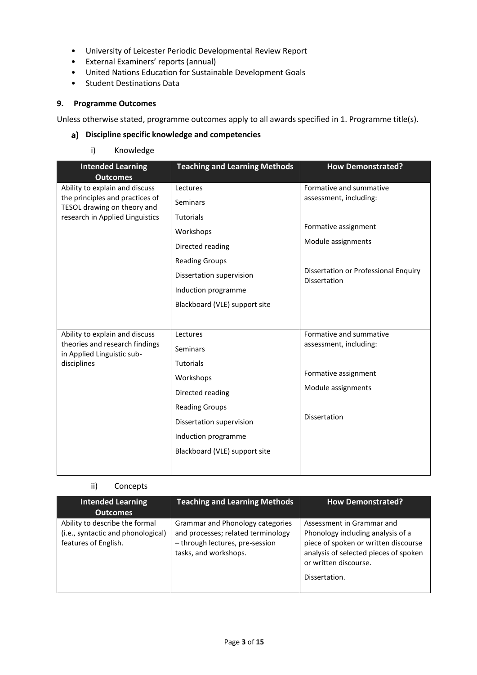- University of Leicester Periodic Developmental Review Report
- External Examiners' reports (annual)
- United Nations Education for Sustainable Development Goals
- Student Destinations Data

#### **9. Programme Outcomes**

Unless otherwise stated, programme outcomes apply to all awards specified in [1.](#page-0-0) Programme title(s).

### **Discipline specific knowledge and competencies**

i) Knowledge

| <b>Intended Learning</b><br><b>Outcomes</b>                    | <b>Teaching and Learning Methods</b> | <b>How Demonstrated?</b>                                    |
|----------------------------------------------------------------|--------------------------------------|-------------------------------------------------------------|
| Ability to explain and discuss                                 | Lectures                             | Formative and summative                                     |
| the principles and practices of<br>TESOL drawing on theory and | <b>Seminars</b>                      | assessment, including:                                      |
| research in Applied Linguistics                                | <b>Tutorials</b>                     |                                                             |
|                                                                | Workshops                            | Formative assignment                                        |
|                                                                | Directed reading                     | Module assignments                                          |
|                                                                | <b>Reading Groups</b>                |                                                             |
|                                                                | Dissertation supervision             | Dissertation or Professional Enquiry<br><b>Dissertation</b> |
|                                                                | Induction programme                  |                                                             |
|                                                                | Blackboard (VLE) support site        |                                                             |
|                                                                |                                      |                                                             |
| Ability to explain and discuss                                 | Lectures                             | Formative and summative                                     |
| theories and research findings<br>in Applied Linguistic sub-   | Seminars                             | assessment, including:                                      |
| disciplines                                                    | <b>Tutorials</b>                     |                                                             |
|                                                                | Workshops                            | Formative assignment                                        |
|                                                                | Directed reading                     | Module assignments                                          |
|                                                                | <b>Reading Groups</b>                |                                                             |
|                                                                | Dissertation supervision             | Dissertation                                                |
|                                                                | Induction programme                  |                                                             |
|                                                                | Blackboard (VLE) support site        |                                                             |
|                                                                |                                      |                                                             |

#### ii) Concepts

| <b>Intended Learning</b><br><b>Outcomes</b>                                                  | <b>Teaching and Learning Methods</b>                                                                                               | <b>How Demonstrated?</b>                                                                                                                                                                  |
|----------------------------------------------------------------------------------------------|------------------------------------------------------------------------------------------------------------------------------------|-------------------------------------------------------------------------------------------------------------------------------------------------------------------------------------------|
| Ability to describe the formal<br>(i.e., syntactic and phonological)<br>features of English. | Grammar and Phonology categories<br>and processes; related terminology<br>- through lectures, pre-session<br>tasks, and workshops. | Assessment in Grammar and<br>Phonology including analysis of a<br>piece of spoken or written discourse<br>analysis of selected pieces of spoken<br>or written discourse.<br>Dissertation. |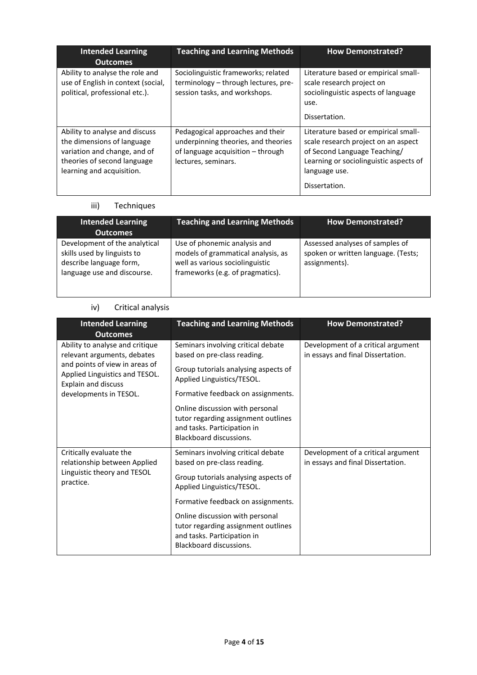| <b>Intended Learning</b><br><b>Outcomes</b>                                                                                                              | <b>Teaching and Learning Methods</b>                                                                                                | <b>How Demonstrated?</b>                                                                                                                                                                |
|----------------------------------------------------------------------------------------------------------------------------------------------------------|-------------------------------------------------------------------------------------------------------------------------------------|-----------------------------------------------------------------------------------------------------------------------------------------------------------------------------------------|
| Ability to analyse the role and<br>use of English in context (social,<br>political, professional etc.).                                                  | Sociolinguistic frameworks; related<br>terminology - through lectures, pre-<br>session tasks, and workshops.                        | Literature based or empirical small-<br>scale research project on<br>sociolinguistic aspects of language<br>use.<br>Dissertation.                                                       |
| Ability to analyse and discuss<br>the dimensions of language<br>variation and change, and of<br>theories of second language<br>learning and acquisition. | Pedagogical approaches and their<br>underpinning theories, and theories<br>of language acquisition - through<br>lectures, seminars. | Literature based or empirical small-<br>scale research project on an aspect<br>of Second Language Teaching/<br>Learning or sociolinguistic aspects of<br>language use.<br>Dissertation. |

# iii) Techniques

| <b>Intended Learning</b><br><b>Outcomes</b>                                                                            | <b>Teaching and Learning Methods</b>                                                                                                      | <b>How Demonstrated?</b>                                                                |
|------------------------------------------------------------------------------------------------------------------------|-------------------------------------------------------------------------------------------------------------------------------------------|-----------------------------------------------------------------------------------------|
| Development of the analytical<br>skills used by linguists to<br>describe language form,<br>language use and discourse. | Use of phonemic analysis and<br>models of grammatical analysis, as<br>well as various sociolinguistic<br>frameworks (e.g. of pragmatics). | Assessed analyses of samples of<br>spoken or written language. (Tests;<br>assignments). |

# iv) Critical analysis

| <b>Intended Learning</b><br><b>Outcomes</b>                                                      | <b>Teaching and Learning Methods</b>                                                                                             | <b>How Demonstrated?</b>                                                |
|--------------------------------------------------------------------------------------------------|----------------------------------------------------------------------------------------------------------------------------------|-------------------------------------------------------------------------|
| Ability to analyse and critique<br>relevant arguments, debates<br>and points of view in areas of | Seminars involving critical debate<br>based on pre-class reading.<br>Group tutorials analysing aspects of                        | Development of a critical argument<br>in essays and final Dissertation. |
| Applied Linguistics and TESOL.<br><b>Explain and discuss</b><br>developments in TESOL.           | Applied Linguistics/TESOL.<br>Formative feedback on assignments.                                                                 |                                                                         |
|                                                                                                  | Online discussion with personal<br>tutor regarding assignment outlines<br>and tasks. Participation in<br>Blackboard discussions. |                                                                         |
| Critically evaluate the<br>relationship between Applied                                          | Seminars involving critical debate<br>based on pre-class reading.                                                                | Development of a critical argument<br>in essays and final Dissertation. |
| Linguistic theory and TESOL<br>practice.                                                         | Group tutorials analysing aspects of<br>Applied Linguistics/TESOL.                                                               |                                                                         |
|                                                                                                  | Formative feedback on assignments.                                                                                               |                                                                         |
|                                                                                                  | Online discussion with personal<br>tutor regarding assignment outlines<br>and tasks. Participation in<br>Blackboard discussions. |                                                                         |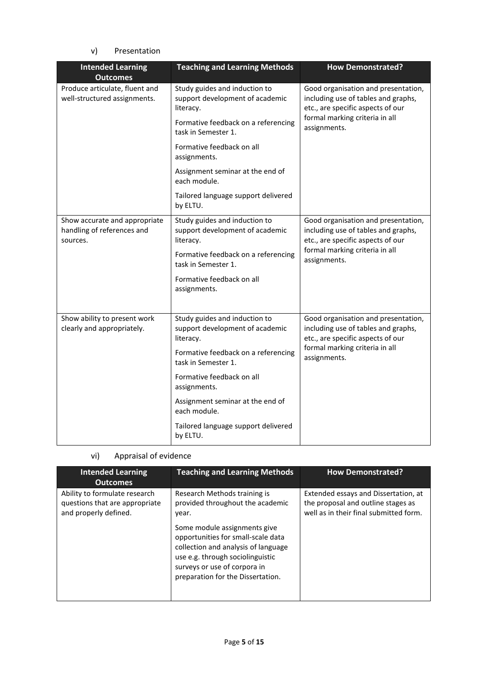# v) Presentation

| <b>Intended Learning</b><br><b>Outcomes</b>                             | <b>Teaching and Learning Methods</b>                                          | <b>How Demonstrated?</b>                                                                                        |
|-------------------------------------------------------------------------|-------------------------------------------------------------------------------|-----------------------------------------------------------------------------------------------------------------|
| Produce articulate, fluent and<br>well-structured assignments.          | Study guides and induction to<br>support development of academic<br>literacy. | Good organisation and presentation,<br>including use of tables and graphs,<br>etc., are specific aspects of our |
|                                                                         | Formative feedback on a referencing<br>task in Semester 1.                    | formal marking criteria in all<br>assignments.                                                                  |
|                                                                         | Formative feedback on all<br>assignments.                                     |                                                                                                                 |
|                                                                         | Assignment seminar at the end of<br>each module.                              |                                                                                                                 |
|                                                                         | Tailored language support delivered<br>by ELTU.                               |                                                                                                                 |
| Show accurate and appropriate<br>handling of references and<br>sources. | Study guides and induction to<br>support development of academic<br>literacy. | Good organisation and presentation,<br>including use of tables and graphs,<br>etc., are specific aspects of our |
|                                                                         | Formative feedback on a referencing<br>task in Semester 1.                    | formal marking criteria in all<br>assignments.                                                                  |
|                                                                         | Formative feedback on all<br>assignments.                                     |                                                                                                                 |
| Show ability to present work<br>clearly and appropriately.              | Study guides and induction to<br>support development of academic<br>literacy. | Good organisation and presentation,<br>including use of tables and graphs,<br>etc., are specific aspects of our |
|                                                                         | Formative feedback on a referencing<br>task in Semester 1.                    | formal marking criteria in all<br>assignments.                                                                  |
|                                                                         | Formative feedback on all<br>assignments.                                     |                                                                                                                 |
|                                                                         | Assignment seminar at the end of<br>each module.                              |                                                                                                                 |
|                                                                         | Tailored language support delivered<br>by ELTU.                               |                                                                                                                 |

# vi) Appraisal of evidence

| <b>Intended Learning</b><br><b>Outcomes</b>                                              | <b>Teaching and Learning Methods</b>                                                                                                                                                                               | <b>How Demonstrated?</b>                                                                                             |
|------------------------------------------------------------------------------------------|--------------------------------------------------------------------------------------------------------------------------------------------------------------------------------------------------------------------|----------------------------------------------------------------------------------------------------------------------|
| Ability to formulate research<br>questions that are appropriate<br>and properly defined. | Research Methods training is<br>provided throughout the academic<br>year.                                                                                                                                          | Extended essays and Dissertation, at<br>the proposal and outline stages as<br>well as in their final submitted form. |
|                                                                                          | Some module assignments give<br>opportunities for small-scale data<br>collection and analysis of language<br>use e.g. through sociolinguistic<br>surveys or use of corpora in<br>preparation for the Dissertation. |                                                                                                                      |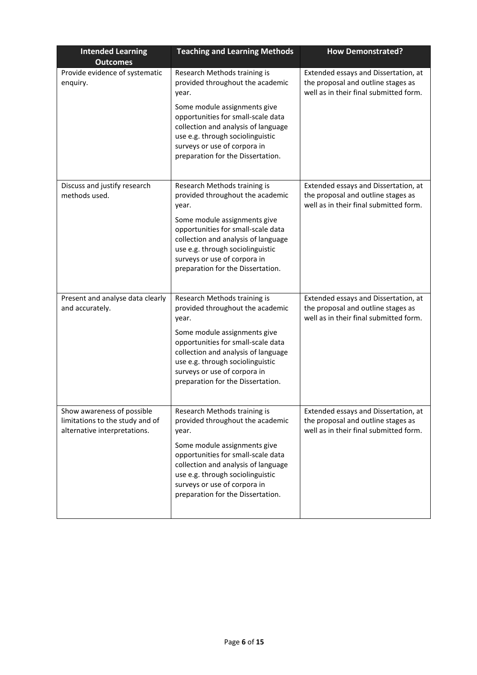| <b>Intended Learning</b><br><b>Outcomes</b>                                                   | <b>Teaching and Learning Methods</b>                                                                                                                                                                                                                                                            | <b>How Demonstrated?</b>                                                                                             |
|-----------------------------------------------------------------------------------------------|-------------------------------------------------------------------------------------------------------------------------------------------------------------------------------------------------------------------------------------------------------------------------------------------------|----------------------------------------------------------------------------------------------------------------------|
| Provide evidence of systematic<br>enquiry.                                                    | Research Methods training is<br>provided throughout the academic<br>year.<br>Some module assignments give<br>opportunities for small-scale data<br>collection and analysis of language<br>use e.g. through sociolinguistic<br>surveys or use of corpora in<br>preparation for the Dissertation. | Extended essays and Dissertation, at<br>the proposal and outline stages as<br>well as in their final submitted form. |
| Discuss and justify research<br>methods used.                                                 | Research Methods training is<br>provided throughout the academic<br>year.<br>Some module assignments give<br>opportunities for small-scale data<br>collection and analysis of language<br>use e.g. through sociolinguistic<br>surveys or use of corpora in<br>preparation for the Dissertation. | Extended essays and Dissertation, at<br>the proposal and outline stages as<br>well as in their final submitted form. |
| Present and analyse data clearly<br>and accurately.                                           | Research Methods training is<br>provided throughout the academic<br>year.<br>Some module assignments give<br>opportunities for small-scale data<br>collection and analysis of language<br>use e.g. through sociolinguistic<br>surveys or use of corpora in<br>preparation for the Dissertation. | Extended essays and Dissertation, at<br>the proposal and outline stages as<br>well as in their final submitted form. |
| Show awareness of possible<br>limitations to the study and of<br>alternative interpretations. | Research Methods training is<br>provided throughout the academic<br>year.<br>Some module assignments give<br>opportunities for small-scale data<br>collection and analysis of language<br>use e.g. through sociolinguistic<br>surveys or use of corpora in<br>preparation for the Dissertation. | Extended essays and Dissertation, at<br>the proposal and outline stages as<br>well as in their final submitted form. |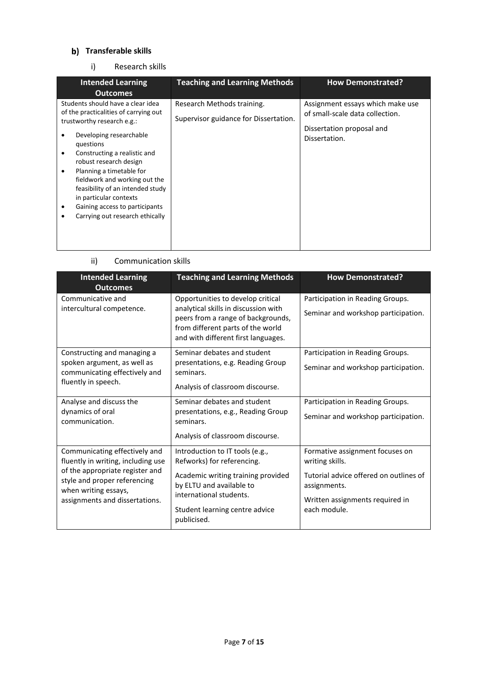# **b)** Transferable skills

#### i) Research skills

| <b>Intended Learning</b>                                                                                                                                                                                                                                                                                 | <b>Teaching and Learning Methods</b>  | <b>How Demonstrated?</b>                   |
|----------------------------------------------------------------------------------------------------------------------------------------------------------------------------------------------------------------------------------------------------------------------------------------------------------|---------------------------------------|--------------------------------------------|
| <b>Outcomes</b>                                                                                                                                                                                                                                                                                          |                                       |                                            |
| Students should have a clear idea                                                                                                                                                                                                                                                                        | Research Methods training.            | Assignment essays which make use           |
| of the practicalities of carrying out<br>trustworthy research e.g.:                                                                                                                                                                                                                                      | Supervisor guidance for Dissertation. | of small-scale data collection.            |
| Developing researchable<br>questions<br>Constructing a realistic and<br>٠<br>robust research design<br>Planning a timetable for<br>٠<br>fieldwork and working out the<br>feasibility of an intended study<br>in particular contexts<br>Gaining access to participants<br>Carrying out research ethically |                                       | Dissertation proposal and<br>Dissertation. |

# ii) Communication skills

| <b>Intended Learning</b>                                                                | <b>Teaching and Learning Methods</b>                                                                                                                   | <b>How Demonstrated?</b>                               |
|-----------------------------------------------------------------------------------------|--------------------------------------------------------------------------------------------------------------------------------------------------------|--------------------------------------------------------|
| <b>Outcomes</b>                                                                         |                                                                                                                                                        |                                                        |
| Communicative and                                                                       | Opportunities to develop critical                                                                                                                      | Participation in Reading Groups.                       |
| intercultural competence.                                                               | analytical skills in discussion with<br>peers from a range of backgrounds,<br>from different parts of the world<br>and with different first languages. | Seminar and workshop participation.                    |
| Constructing and managing a                                                             | Seminar debates and student                                                                                                                            | Participation in Reading Groups.                       |
| spoken argument, as well as<br>communicating effectively and                            | presentations, e.g. Reading Group<br>seminars.                                                                                                         | Seminar and workshop participation.                    |
| fluently in speech.                                                                     | Analysis of classroom discourse.                                                                                                                       |                                                        |
| Analyse and discuss the                                                                 | Seminar debates and student                                                                                                                            | Participation in Reading Groups.                       |
| dynamics of oral<br>communication.                                                      | presentations, e.g., Reading Group<br>seminars.                                                                                                        | Seminar and workshop participation.                    |
|                                                                                         | Analysis of classroom discourse.                                                                                                                       |                                                        |
| Communicating effectively and<br>fluently in writing, including use                     | Introduction to IT tools (e.g.,<br>Refworks) for referencing.                                                                                          | Formative assignment focuses on<br>writing skills.     |
| of the appropriate register and<br>style and proper referencing<br>when writing essays, | Academic writing training provided<br>by ELTU and available to                                                                                         | Tutorial advice offered on outlines of<br>assignments. |
| assignments and dissertations.                                                          | international students.                                                                                                                                | Written assignments required in                        |
|                                                                                         | Student learning centre advice<br>publicised.                                                                                                          | each module.                                           |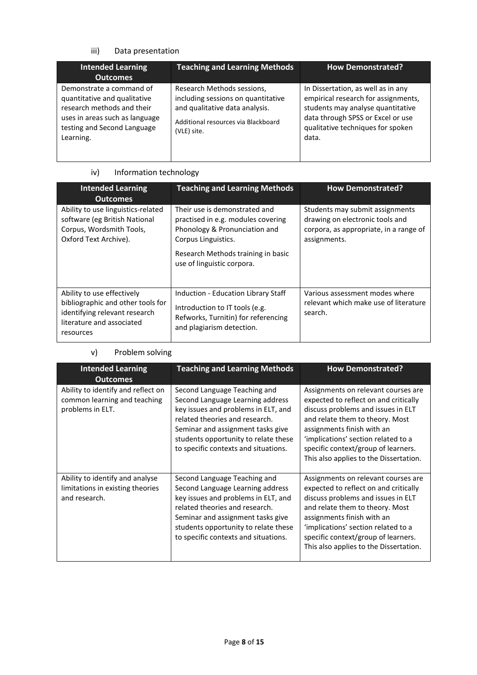# iii) Data presentation

| <b>Intended Learning</b><br><b>Outcomes</b>                                                                                                                          | <b>Teaching and Learning Methods</b>                                                                                                                     | <b>How Demonstrated?</b>                                                                                                                                                                          |
|----------------------------------------------------------------------------------------------------------------------------------------------------------------------|----------------------------------------------------------------------------------------------------------------------------------------------------------|---------------------------------------------------------------------------------------------------------------------------------------------------------------------------------------------------|
| Demonstrate a command of<br>quantitative and qualitative<br>research methods and their<br>uses in areas such as language<br>testing and Second Language<br>Learning. | Research Methods sessions,<br>including sessions on quantitative<br>and qualitative data analysis.<br>Additional resources via Blackboard<br>(VLE) site. | In Dissertation, as well as in any<br>empirical research for assignments,<br>students may analyse quantitative<br>data through SPSS or Excel or use<br>qualitative techniques for spoken<br>data. |

### iv) Information technology

| <b>Intended Learning</b><br><b>Outcomes</b>                                                                                                | <b>Teaching and Learning Methods</b>                                                                                                                                                            | <b>How Demonstrated?</b>                                                                                                     |
|--------------------------------------------------------------------------------------------------------------------------------------------|-------------------------------------------------------------------------------------------------------------------------------------------------------------------------------------------------|------------------------------------------------------------------------------------------------------------------------------|
| Ability to use linguistics-related<br>software (eg British National<br>Corpus, Wordsmith Tools,<br>Oxford Text Archive).                   | Their use is demonstrated and<br>practised in e.g. modules covering<br>Phonology & Pronunciation and<br>Corpus Linguistics.<br>Research Methods training in basic<br>use of linguistic corpora. | Students may submit assignments<br>drawing on electronic tools and<br>corpora, as appropriate, in a range of<br>assignments. |
| Ability to use effectively<br>bibliographic and other tools for<br>identifying relevant research<br>literature and associated<br>resources | Induction - Education Library Staff<br>Introduction to IT tools (e.g.<br>Refworks, Turnitin) for referencing<br>and plagiarism detection.                                                       | Various assessment modes where<br>relevant which make use of literature<br>search.                                           |

# v) Problem solving

| <b>Intended Learning</b><br><b>Outcomes</b>                                            | <b>Teaching and Learning Methods</b>                                                                                                                                                                                                                           | <b>How Demonstrated?</b>                                                                                                                                                                                                                                                                                     |
|----------------------------------------------------------------------------------------|----------------------------------------------------------------------------------------------------------------------------------------------------------------------------------------------------------------------------------------------------------------|--------------------------------------------------------------------------------------------------------------------------------------------------------------------------------------------------------------------------------------------------------------------------------------------------------------|
| Ability to identify and reflect on<br>common learning and teaching<br>problems in ELT. | Second Language Teaching and<br>Second Language Learning address<br>key issues and problems in ELT, and<br>related theories and research.<br>Seminar and assignment tasks give<br>students opportunity to relate these<br>to specific contexts and situations. | Assignments on relevant courses are.<br>expected to reflect on and critically<br>discuss problems and issues in ELT<br>and relate them to theory. Most<br>assignments finish with an<br>'implications' section related to a<br>specific context/group of learners.<br>This also applies to the Dissertation. |
| Ability to identify and analyse<br>limitations in existing theories<br>and research.   | Second Language Teaching and<br>Second Language Learning address<br>key issues and problems in ELT, and<br>related theories and research.<br>Seminar and assignment tasks give<br>students opportunity to relate these<br>to specific contexts and situations. | Assignments on relevant courses are<br>expected to reflect on and critically<br>discuss problems and issues in ELT<br>and relate them to theory. Most<br>assignments finish with an<br>'implications' section related to a<br>specific context/group of learners.<br>This also applies to the Dissertation.  |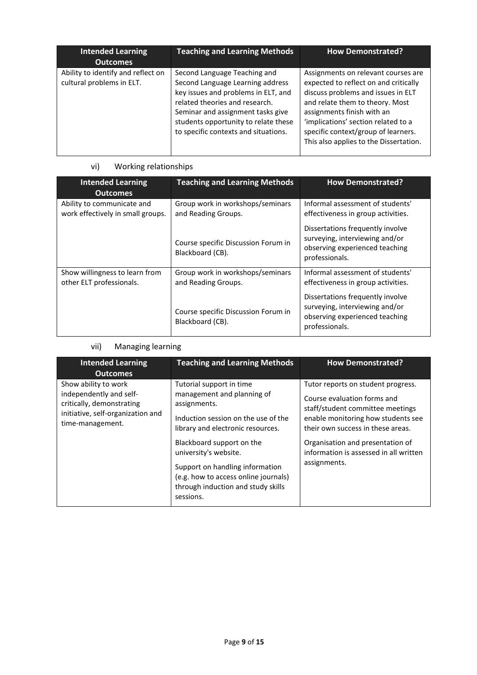| <b>Intended Learning</b><br><b>Outcomes</b>                     | <b>Teaching and Learning Methods</b>                                                                                                                                                                                                                           | <b>How Demonstrated?</b>                                                                                                                                                                                                                                                                                    |
|-----------------------------------------------------------------|----------------------------------------------------------------------------------------------------------------------------------------------------------------------------------------------------------------------------------------------------------------|-------------------------------------------------------------------------------------------------------------------------------------------------------------------------------------------------------------------------------------------------------------------------------------------------------------|
| Ability to identify and reflect on<br>cultural problems in ELT. | Second Language Teaching and<br>Second Language Learning address<br>key issues and problems in ELT, and<br>related theories and research.<br>Seminar and assignment tasks give<br>students opportunity to relate these<br>to specific contexts and situations. | Assignments on relevant courses are<br>expected to reflect on and critically<br>discuss problems and issues in ELT<br>and relate them to theory. Most<br>assignments finish with an<br>'implications' section related to a<br>specific context/group of learners.<br>This also applies to the Dissertation. |

# vi) Working relationships

| <b>Intended Learning</b><br><b>Outcomes</b>                     | <b>Teaching and Learning Methods</b>                    | <b>How Demonstrated?</b>                                                                                               |  |
|-----------------------------------------------------------------|---------------------------------------------------------|------------------------------------------------------------------------------------------------------------------------|--|
| Ability to communicate and<br>work effectively in small groups. | Group work in workshops/seminars<br>and Reading Groups. | Informal assessment of students'<br>effectiveness in group activities.                                                 |  |
|                                                                 | Course specific Discussion Forum in<br>Blackboard (CB). | Dissertations frequently involve<br>surveying, interviewing and/or<br>observing experienced teaching<br>professionals. |  |
| Show willingness to learn from<br>other ELT professionals.      | Group work in workshops/seminars<br>and Reading Groups. | Informal assessment of students'<br>effectiveness in group activities.                                                 |  |
|                                                                 | Course specific Discussion Forum in<br>Blackboard (CB). | Dissertations frequently involve<br>surveying, interviewing and/or<br>observing experienced teaching<br>professionals. |  |

# vii) Managing learning

| <b>Intended Learning</b><br><b>Outcomes</b>                                                                                           | <b>Teaching and Learning Methods</b>                                                                                                                                             | <b>How Demonstrated?</b>                                                                                                                                                         |
|---------------------------------------------------------------------------------------------------------------------------------------|----------------------------------------------------------------------------------------------------------------------------------------------------------------------------------|----------------------------------------------------------------------------------------------------------------------------------------------------------------------------------|
| Show ability to work<br>independently and self-<br>critically, demonstrating<br>initiative, self-organization and<br>time-management. | Tutorial support in time<br>management and planning of<br>assignments.<br>Induction session on the use of the<br>library and electronic resources.                               | Tutor reports on student progress.<br>Course evaluation forms and<br>staff/student committee meetings<br>enable monitoring how students see<br>their own success in these areas. |
|                                                                                                                                       | Blackboard support on the<br>university's website.<br>Support on handling information<br>(e.g. how to access online journals)<br>through induction and study skills<br>sessions. | Organisation and presentation of<br>information is assessed in all written<br>assignments.                                                                                       |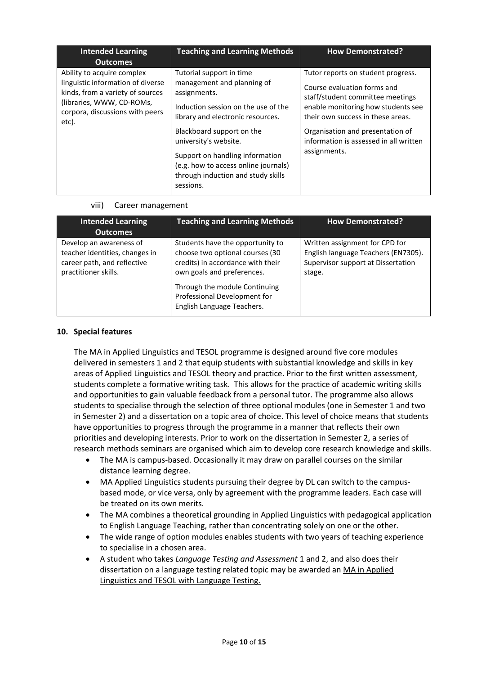| <b>Intended Learning</b><br><b>Outcomes</b>                                                                                                                                  | <b>Teaching and Learning Methods</b>                                                                                                                                                                                                                                                                                                   | <b>How Demonstrated?</b>                                                                                                                                                                                                                                                       |
|------------------------------------------------------------------------------------------------------------------------------------------------------------------------------|----------------------------------------------------------------------------------------------------------------------------------------------------------------------------------------------------------------------------------------------------------------------------------------------------------------------------------------|--------------------------------------------------------------------------------------------------------------------------------------------------------------------------------------------------------------------------------------------------------------------------------|
| Ability to acquire complex<br>linguistic information of diverse<br>kinds, from a variety of sources<br>(libraries, WWW, CD-ROMs,<br>corpora, discussions with peers<br>etc). | Tutorial support in time<br>management and planning of<br>assignments.<br>Induction session on the use of the<br>library and electronic resources.<br>Blackboard support on the<br>university's website.<br>Support on handling information<br>(e.g. how to access online journals)<br>through induction and study skills<br>sessions. | Tutor reports on student progress.<br>Course evaluation forms and<br>staff/student committee meetings<br>enable monitoring how students see<br>their own success in these areas.<br>Organisation and presentation of<br>information is assessed in all written<br>assignments. |

viii) Career management

| <b>Intended Learning</b><br><b>Outcomes</b>                                                                      | <b>Teaching and Learning Methods</b>                                                                                                                                                                                                  | <b>How Demonstrated?</b>                                                                                              |
|------------------------------------------------------------------------------------------------------------------|---------------------------------------------------------------------------------------------------------------------------------------------------------------------------------------------------------------------------------------|-----------------------------------------------------------------------------------------------------------------------|
| Develop an awareness of<br>teacher identities, changes in<br>career path, and reflective<br>practitioner skills. | Students have the opportunity to<br>choose two optional courses (30<br>credits) in accordance with their<br>own goals and preferences.<br>Through the module Continuing<br>Professional Development for<br>English Language Teachers. | Written assignment for CPD for<br>English language Teachers (EN7305).<br>Supervisor support at Dissertation<br>stage. |

# **10. Special features**

The MA in Applied Linguistics and TESOL programme is designed around five core modules delivered in semesters 1 and 2 that equip students with substantial knowledge and skills in key areas of Applied Linguistics and TESOL theory and practice. Prior to the first written assessment, students complete a formative writing task. This allows for the practice of academic writing skills and opportunities to gain valuable feedback from a personal tutor. The programme also allows students to specialise through the selection of three optional modules (one in Semester 1 and two in Semester 2) and a dissertation on a topic area of choice. This level of choice means that students have opportunities to progress through the programme in a manner that reflects their own priorities and developing interests. Prior to work on the dissertation in Semester 2, a series of research methods seminars are organised which aim to develop core research knowledge and skills.

- The MA is campus-based. Occasionally it may draw on parallel courses on the similar distance learning degree.
- MA Applied Linguistics students pursuing their degree by DL can switch to the campusbased mode, or vice versa, only by agreement with the programme leaders. Each case will be treated on its own merits.
- The MA combines a theoretical grounding in Applied Linguistics with pedagogical application to English Language Teaching, rather than concentrating solely on one or the other.
- The wide range of option modules enables students with two years of teaching experience to specialise in a chosen area.
- A student who takes *Language Testing and Assessment* 1 and 2, and also does their dissertation on a language testing related topic may be awarded an MA in Applied Linguistics and TESOL with Language Testing.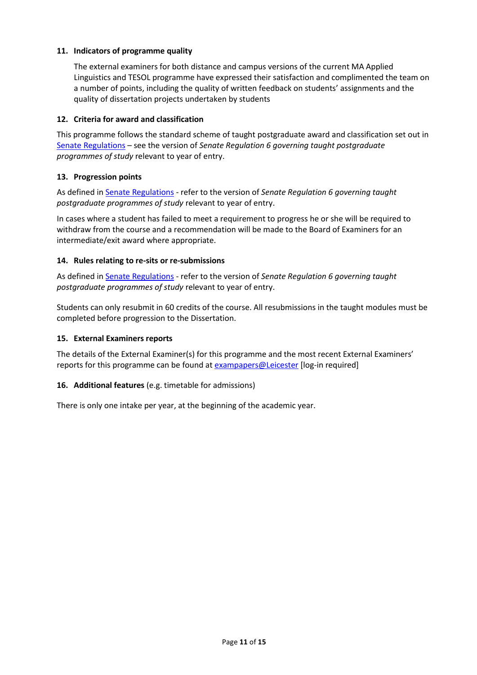### **11. Indicators of programme quality**

The external examiners for both distance and campus versions of the current MA Applied Linguistics and TESOL programme have expressed their satisfaction and complimented the team on a number of points, including the quality of written feedback on students' assignments and the quality of dissertation projects undertaken by students

### **12. Criteria for award and classification**

This programme follows the standard scheme of taught postgraduate award and classification set out in [Senate Regulations](http://www.le.ac.uk/senate-regulations) – see the version of *Senate Regulation 6 governing taught postgraduate programmes of study* relevant to year of entry.

### **13. Progression points**

As defined i[n Senate Regulations](http://www.le.ac.uk/senate-regulation6) - refer to the version of *Senate Regulation 6 governing taught postgraduate programmes of study* relevant to year of entry.

In cases where a student has failed to meet a requirement to progress he or she will be required to withdraw from the course and a recommendation will be made to the Board of Examiners for an intermediate/exit award where appropriate.

### **14. Rules relating to re-sits or re-submissions**

As defined i[n Senate Regulations](http://www.le.ac.uk/senate-regulation6) - refer to the version of *Senate Regulation 6 governing taught postgraduate programmes of study* relevant to year of entry.

Students can only resubmit in 60 credits of the course. All resubmissions in the taught modules must be completed before progression to the Dissertation.

#### **15. External Examiners reports**

The details of the External Examiner(s) for this programme and the most recent External Examiners' reports for this programme can be found at [exampapers@Leicester](https://exampapers.le.ac.uk/) [log-in required]

# **16. Additional features** (e.g. timetable for admissions)

There is only one intake per year, at the beginning of the academic year.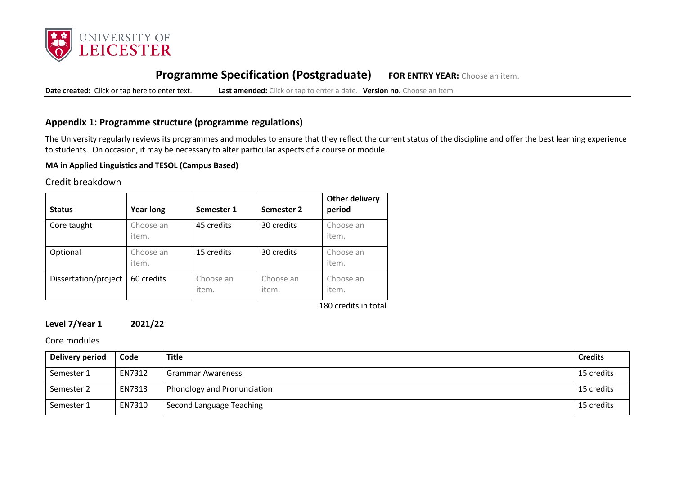

# **Programme Specification (Postgraduate) FOR ENTRY YEAR:** Choose an item.

**Date created:** Click or tap here to enter text. **Last amended:** Click or tap to enter a date. **Version no.** Choose an item.

# **Appendix 1: Programme structure (programme regulations)**

The University regularly reviews its programmes and modules to ensure that they reflect the current status of the discipline and offer the best learning experience to students. On occasion, it may be necessary to alter particular aspects of a course or module.

# **MA in Applied Linguistics and TESOL (Campus Based)**

Credit breakdown

| <b>Status</b>        | <b>Year long</b>   | Semester 1         | Semester 2         | <b>Other delivery</b><br>period   |
|----------------------|--------------------|--------------------|--------------------|-----------------------------------|
| Core taught          | Choose an<br>item. | 45 credits         | 30 credits         | Choose an<br>item.                |
| Optional             | Choose an<br>item. | 15 credits         | 30 credits         | Choose an<br>item.                |
| Dissertation/project | 60 credits         | Choose an<br>item. | Choose an<br>item. | Choose an<br>item.<br>$100 - 454$ |

180 credits in total

# **Level 7/Year 1 2021/22**

Core modules

| Delivery period | Code   | <b>Title</b>                | <b>Credits</b> |
|-----------------|--------|-----------------------------|----------------|
| Semester 1      | EN7312 | <b>Grammar Awareness</b>    | 15 credits     |
| Semester 2      | EN7313 | Phonology and Pronunciation | 15 credits     |
| Semester 1      | EN7310 | Second Language Teaching    | 15 credits     |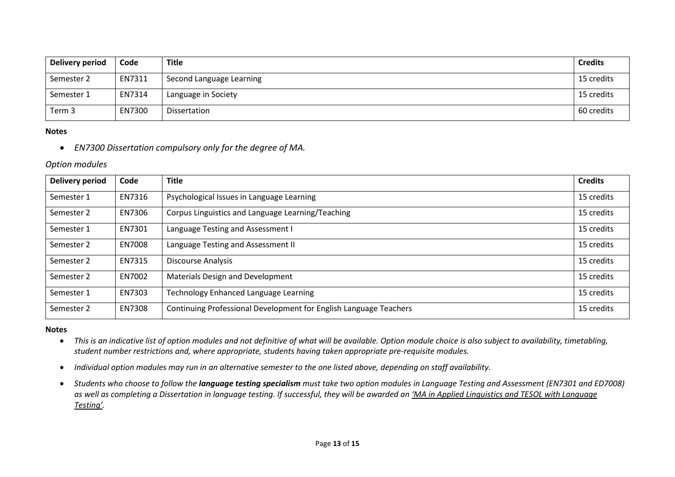| Delivery period | Code   | <b>Title</b>             | <b>Credits</b> |
|-----------------|--------|--------------------------|----------------|
| Semester 2      | EN7311 | Second Language Learning | 15 credits     |
| Semester 1      | EN7314 | Language in Society      | 15 credits     |
| Term 3          | EN7300 | Dissertation             | 60 credits     |

#### **Notes**

*EN7300 Dissertation compulsory only for the degree of MA.*

#### *Option modules*

| <b>Delivery period</b> | Code   | <b>Title</b>                                                      | <b>Credits</b> |
|------------------------|--------|-------------------------------------------------------------------|----------------|
| Semester 1             | EN7316 | Psychological Issues in Language Learning                         | 15 credits     |
| Semester 2             | EN7306 | Corpus Linguistics and Language Learning/Teaching                 | 15 credits     |
| Semester 1             | EN7301 | Language Testing and Assessment I                                 | 15 credits     |
| Semester 2             | EN7008 | Language Testing and Assessment II                                | 15 credits     |
| Semester 2             | EN7315 | <b>Discourse Analysis</b>                                         | 15 credits     |
| Semester 2             | EN7002 | Materials Design and Development                                  | 15 credits     |
| Semester 1             | EN7303 | Technology Enhanced Language Learning                             | 15 credits     |
| Semester 2             | EN7308 | Continuing Professional Development for English Language Teachers | 15 credits     |

#### **Notes**

- This is an indicative list of option modules and not definitive of what will be available. Option module choice is also subject to availability, timetabling, *student number restrictions and, where appropriate, students having taken appropriate pre-requisite modules.*
- *Individual option modules may run in an alternative semester to the one listed above, depending on staff availability.*
- *Students who choose to follow the language testing specialism must take two option modules in Language Testing and Assessment (EN7301 and ED7008)*  as well as completing a Dissertation in language testing. If successful, they will be awarded an 'MA in Applied Linguistics and TESOL with Language *Testing'.*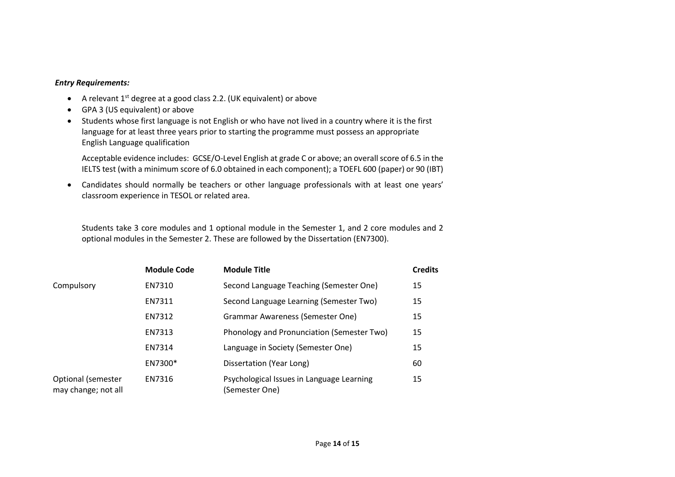#### *Entry Requirements:*

- A relevant 1<sup>st</sup> degree at a good class 2.2. (UK equivalent) or above
- GPA 3 (US equivalent) or above
- Students whose first language is not English or who have not lived in a country where it is the first language for at least three years prior to starting the programme must possess an appropriate English Language qualification

Acceptable evidence includes: GCSE/O-Level English at grade C or above; an overall score of 6.5 in the IELTS test (with a minimum score of 6.0 obtained in each component); a TOEFL 600 (paper) or 90 (IBT)

 Candidates should normally be teachers or other language professionals with at least one years' classroom experience in TESOL or related area.

Students take 3 core modules and 1 optional module in the Semester 1, and 2 core modules and 2 optional modules in the Semester 2. These are followed by the Dissertation (EN7300).

|                                           | <b>Module Code</b> | <b>Module Title</b>                                         | <b>Credits</b> |
|-------------------------------------------|--------------------|-------------------------------------------------------------|----------------|
| Compulsory                                | EN7310             | Second Language Teaching (Semester One)                     | 15             |
|                                           | EN7311             | Second Language Learning (Semester Two)                     | 15             |
|                                           | EN7312             | Grammar Awareness (Semester One)                            | 15             |
|                                           | EN7313             | Phonology and Pronunciation (Semester Two)                  | 15             |
|                                           | EN7314             | Language in Society (Semester One)                          | 15             |
|                                           | EN7300*            | Dissertation (Year Long)                                    | 60             |
| Optional (semester<br>may change; not all | EN7316             | Psychological Issues in Language Learning<br>(Semester One) | 15             |